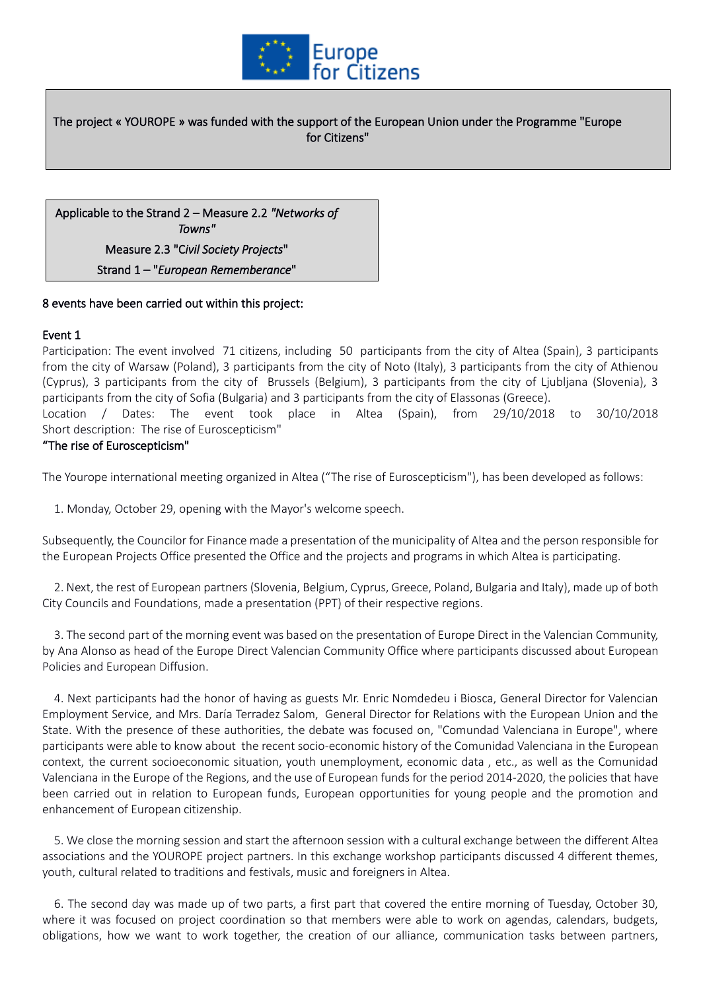

The project « YOUROPE » was funded with the support of the European Union under the Programme "Europe for Citizens"

Applicable to the Strand 2 – Measure 2.2 *"Networks of Towns"* Measure 2.3 "C*ivil Society Projects*" Strand 1 – "*European Rememberance*"

### 8 events have been carried out within this project:

#### Event 1

Participation: The event involved 71 citizens, including 50 participants from the city of Altea (Spain), 3 participants from the city of Warsaw (Poland), 3 participants from the city of Noto (Italy), 3 participants from the city of Athienou (Cyprus), 3 participants from the city of Brussels (Belgium), 3 participants from the city of Ljubljana (Slovenia), 3 participants from the city of Sofia (Bulgaria) and 3 participants from the city of Elassonas (Greece).

Location / Dates: The event took place in Altea (Spain), from 29/10/2018 to 30/10/2018 Short description: The rise of Euroscepticism"

#### "The rise of Euroscepticism"

The Yourope international meeting organized in Altea ("The rise of Euroscepticism"), has been developed as follows:

1. Monday, October 29, opening with the Mayor's welcome speech.

Subsequently, the Councilor for Finance made a presentation of the municipality of Altea and the person responsible for the European Projects Office presented the Office and the projects and programs in which Altea is participating.

 2. Next, the rest of European partners (Slovenia, Belgium, Cyprus, Greece, Poland, Bulgaria and Italy), made up of both City Councils and Foundations, made a presentation (PPT) of their respective regions.

 3. The second part of the morning event was based on the presentation of Europe Direct in the Valencian Community, by Ana Alonso as head of the Europe Direct Valencian Community Office where participants discussed about European Policies and European Diffusion.

 4. Next participants had the honor of having as guests Mr. Enric Nomdedeu i Biosca, General Director for Valencian Employment Service, and Mrs. Daría Terradez Salom, General Director for Relations with the European Union and the State. With the presence of these authorities, the debate was focused on, "Comundad Valenciana in Europe", where participants were able to know about the recent socio-economic history of the Comunidad Valenciana in the European context, the current socioeconomic situation, youth unemployment, economic data , etc., as well as the Comunidad Valenciana in the Europe of the Regions, and the use of European funds for the period 2014-2020, the policies that have been carried out in relation to European funds, European opportunities for young people and the promotion and enhancement of European citizenship.

 5. We close the morning session and start the afternoon session with a cultural exchange between the different Altea associations and the YOUROPE project partners. In this exchange workshop participants discussed 4 different themes, youth, cultural related to traditions and festivals, music and foreigners in Altea.

 6. The second day was made up of two parts, a first part that covered the entire morning of Tuesday, October 30, where it was focused on project coordination so that members were able to work on agendas, calendars, budgets, obligations, how we want to work together, the creation of our alliance, communication tasks between partners,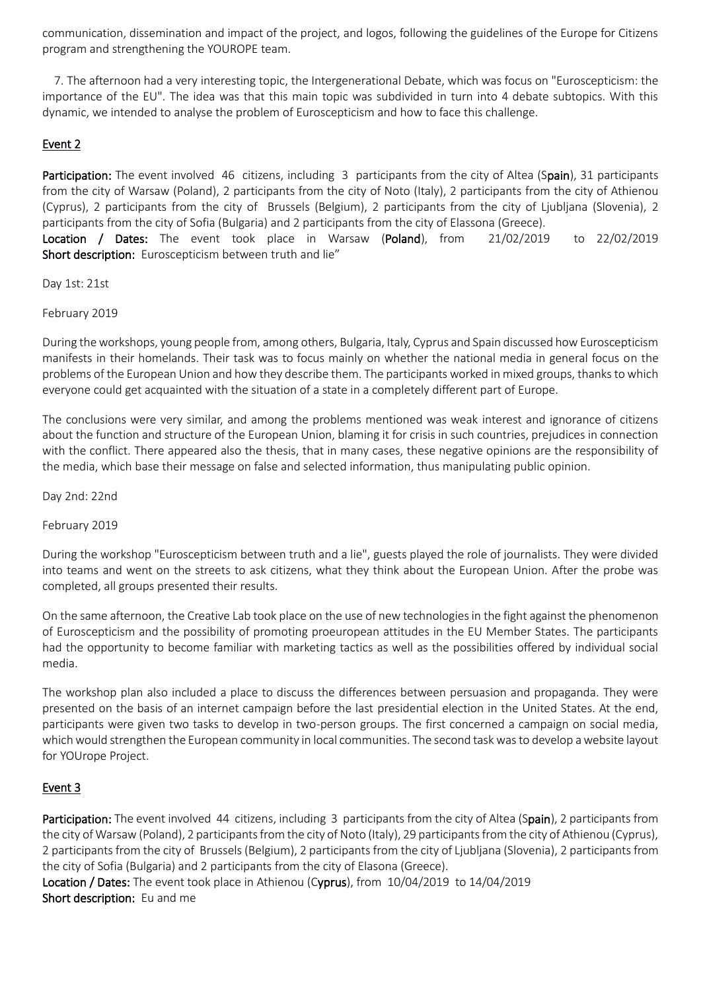communication, dissemination and impact of the project, and logos, following the guidelines of the Europe for Citizens program and strengthening the YOUROPE team.

 7. The afternoon had a very interesting topic, the Intergenerational Debate, which was focus on "Euroscepticism: the importance of the EU". The idea was that this main topic was subdivided in turn into 4 debate subtopics. With this dynamic, we intended to analyse the problem of Euroscepticism and how to face this challenge.

## Event 2

Participation: The event involved 46 citizens, including 3 participants from the city of Altea (Spain), 31 participants from the city of Warsaw (Poland), 2 participants from the city of Noto (Italy), 2 participants from the city of Athienou (Cyprus), 2 participants from the city of Brussels (Belgium), 2 participants from the city of Ljubljana (Slovenia), 2 participants from the city of Sofia (Bulgaria) and 2 participants from the city of Elassona (Greece). Location / Dates: The event took place in Warsaw (Poland), from 21/02/2019 to 22/02/2019

Short description: Euroscepticism between truth and lie"

Day 1st: 21st

February 2019

During the workshops, young people from, among others, Bulgaria, Italy, Cyprus and Spain discussed how Euroscepticism manifests in their homelands. Their task was to focus mainly on whether the national media in general focus on the problems of the European Union and how they describe them. The participants worked in mixed groups, thanks to which everyone could get acquainted with the situation of a state in a completely different part of Europe.

The conclusions were very similar, and among the problems mentioned was weak interest and ignorance of citizens about the function and structure of the European Union, blaming it for crisis in such countries, prejudices in connection with the conflict. There appeared also the thesis, that in many cases, these negative opinions are the responsibility of the media, which base their message on false and selected information, thus manipulating public opinion.

Day 2nd: 22nd

February 2019

During the workshop "Euroscepticism between truth and a lie", guests played the role of journalists. They were divided into teams and went on the streets to ask citizens, what they think about the European Union. After the probe was completed, all groups presented their results.

On the same afternoon, the Creative Lab took place on the use of new technologies in the fight against the phenomenon of Euroscepticism and the possibility of promoting proeuropean attitudes in the EU Member States. The participants had the opportunity to become familiar with marketing tactics as well as the possibilities offered by individual social media.

The workshop plan also included a place to discuss the differences between persuasion and propaganda. They were presented on the basis of an internet campaign before the last presidential election in the United States. At the end, participants were given two tasks to develop in two-person groups. The first concerned a campaign on social media, which would strengthen the European community in local communities. The second task was to develop a website layout for YOUrope Project.

## Event 3

Participation: The event involved 44 citizens, including 3 participants from the city of Altea (Spain), 2 participants from the city of Warsaw (Poland), 2 participants from the city of Noto (Italy), 29 participants from the city of Athienou (Cyprus), 2 participants from the city of Brussels (Belgium), 2 participants from the city of Ljubljana (Slovenia), 2 participants from the city of Sofia (Bulgaria) and 2 participants from the city of Elasona (Greece).

Location / Dates: The event took place in Athienou (Cyprus), from 10/04/2019 to 14/04/2019 Short description: Eu and me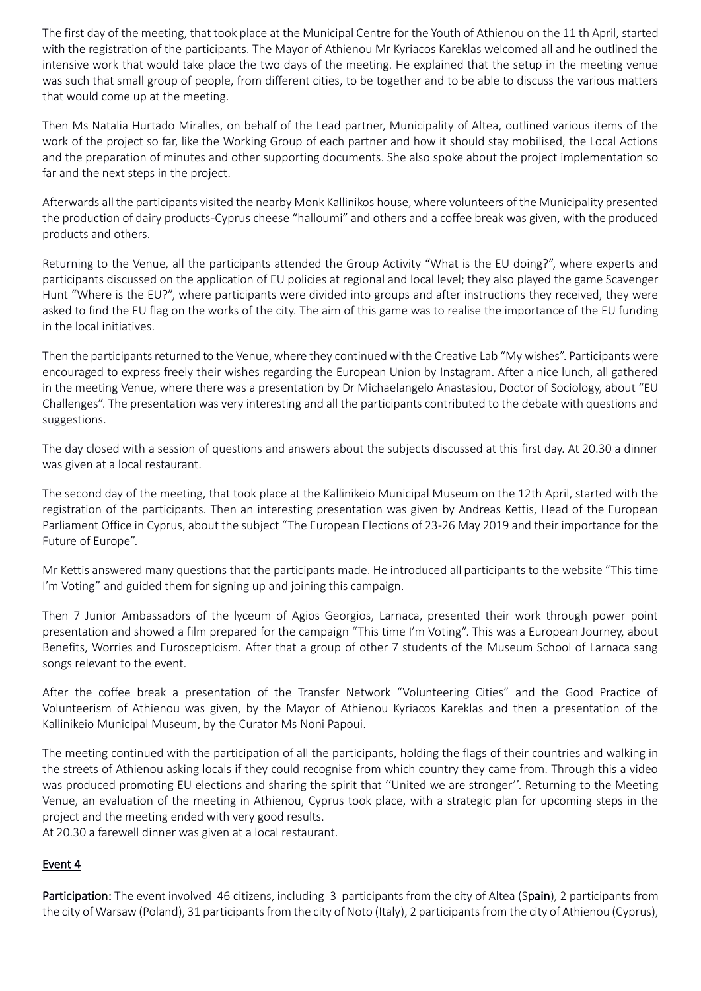The first day of the meeting, that took place at the Municipal Centre for the Youth of Athienou on the 11 th April, started with the registration of the participants. The Mayor of Athienou Mr Kyriacos Kareklas welcomed all and he outlined the intensive work that would take place the two days of the meeting. He explained that the setup in the meeting venue was such that small group of people, from different cities, to be together and to be able to discuss the various matters that would come up at the meeting.

Then Ms Natalia Hurtado Miralles, on behalf of the Lead partner, Municipality of Altea, outlined various items of the work of the project so far, like the Working Group of each partner and how it should stay mobilised, the Local Actions and the preparation of minutes and other supporting documents. She also spoke about the project implementation so far and the next steps in the project.

Afterwards all the participants visited the nearby Monk Kallinikos house, where volunteers of the Municipality presented the production of dairy products -Cyprus cheese "halloumi" and others and a coffee break was given, with the produced products and others.

Returning to the Venue, all the participants attended the Group Activity "What is the EU doing?", where experts and participants discussed on the application of EU policies at regional and local level; they also played the game Scavenger Hunt "Where is the EU?", where participants were divided into groups and after instructions they received, they were asked to find the EU flag on the works of the city. The aim of this game was to realise the importance of the EU funding in the local initiatives.

Then the participants returned to the Venue, where they continued with the Creative Lab "My wishes". Participants were encouraged to express freely their wishes regarding the European Union by Instagram. After a nice lunch, all gathered in the meeting Venue, where there was a presentation by Dr Michaelangelo Anastasiou, Doctor of Sociology, about "EU Challenges". The presentation was very interesting and all the participants contributed to the debate with questions and suggestions.

The day closed with a session of questions and answers about the subjects discussed at this first day. At 20.30 a dinner was given at a local restaurant.

The second day of the meeting, that took place at the Kallinikeio Municipal Museum on the 12th April, started with the registration of the participants. Then an interesting presentation was given by Andreas Kettis, Head of the European Parliament Office in Cyprus, about the subject "The European Elections of 23-26 May 2019 and their importance for the Future of Europe".

Mr Kettis answered many questions that the participants made. He introduced all participants to the website "This time I'm Voting" and guided them for signing up and joining this campaign.

Then 7 Junior Ambassadors of the lyceum of Agios Georgios, Larnaca, presented their work through power point presentation and showed a film prepared for the campaign "This time I'm Voting". This was a European Journey, about Benefits, Worries and Euroscepticism. After that a group of other 7 students of the Museum School of Larnaca sang songs relevant to the event.

After the coffee break a presentation of the Transfer Network "Volunteering Cities" and the Good Practice of Volunteerism of Athienou was given, by the Mayor of Athienou Kyriacos Kareklas and then a presentation of the Kallinikeio Municipal Museum, by the Curator Ms Noni Papoui.

The meeting continued with the participation of all the participants, holding the flags of their countries and walking in the streets of Athienou asking locals if they could recognise from which country they came from. Through this a video was produced promoting EU elections and sharing the spirit that ''United we are stronger''. Returning to the Meeting Venue, an evaluation of the meeting in Athienou, Cyprus took place, with a strategic plan for upcoming steps in the project and the meeting ended with very good results.

At 20.30 a farewell dinner was given at a local restaurant.

# Event 4

Participation: The event involved 46 citizens, including 3 participants from the city of Altea (Spain), 2 participants from the city of Warsaw (Poland), 31 participants from the city of Noto (Italy), 2 participants from the city of Athienou (Cyprus),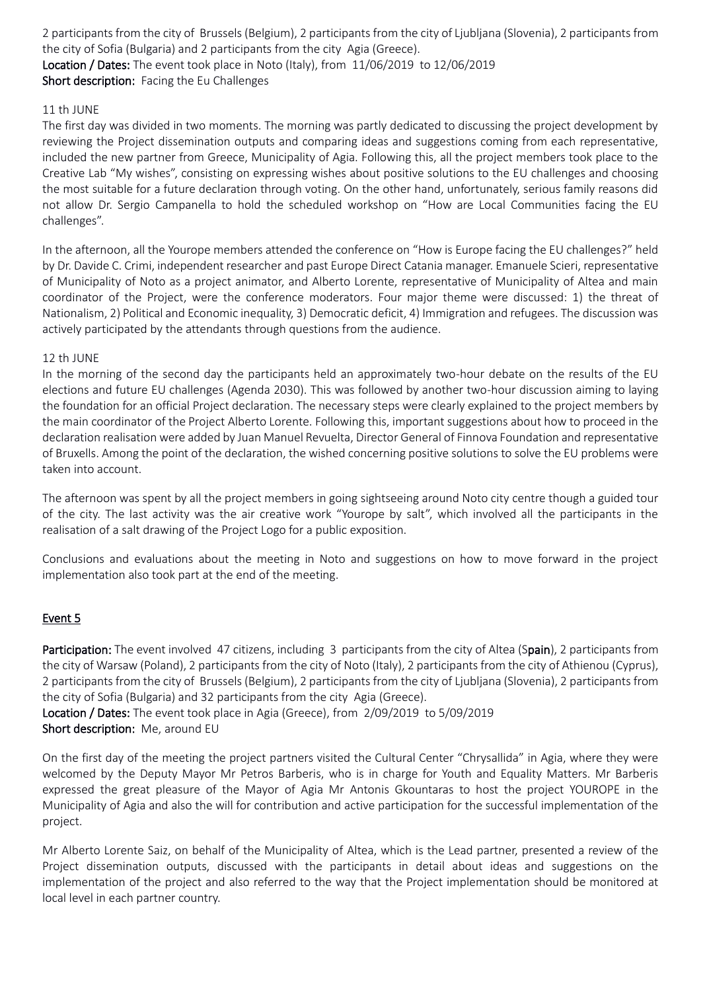2 participants from the city of Brussels (Belgium), 2 participants from the city of Ljubljana (Slovenia), 2 participants from the city of Sofia (Bulgaria) and 2 participants from the city Agia (Greece). Location / Dates: The event took place in Noto (Italy), from 11/06/2019 to 12/06/2019

Short description: Facing the Eu Challenges

### 11 th JUNE

The first day was divided in two moments. The morning was partly dedicated to discussing the project development by reviewing the Project dissemination outputs and comparing ideas and suggestions coming from each representative, included the new partner from Greece, Municipality of Agia. Following this, all the project members took place to the Creative Lab "My wishes", consisting on expressing wishes about positive solutions to the EU challenges and choosing the most suitable for a future declaration through voting. On the other hand, unfortunately, serious family reasons did not allow Dr. Sergio Campanella to hold the scheduled workshop on "How are Local Communities facing the EU challenges".

In the afternoon, all the Yourope members attended the conference on "How is Europe facing the EU challenges?" held by Dr. Davide C. Crimi, independent researcher and past Europe Direct Catania manager. Emanuele Scieri, representative of Municipality of Noto as a project animator, and Alberto Lorente, representative of Municipality of Altea and main coordinator of the Project, were the conference moderators. Four major theme were discussed: 1) the threat of Nationalism, 2) Political and Economic inequality, 3) Democratic deficit, 4) Immigration and refugees. The discussion was actively participated by the attendants through questions from the audience.

### 12 th JUNE

In the morning of the second day the participants held an approximately two-hour debate on the results of the EU elections and future EU challenges (Agenda 2030). This was followed by another two-hour discussion aiming to laying the foundation for an official Project declaration. The necessary steps were clearly explained to the project members by the main coordinator of the Project Alberto Lorente. Following this, important suggestions about how to proceed in the declaration realisation were added by Juan Manuel Revuelta, Director General of Finnova Foundation and representative of Bruxells. Among the point of the declaration, the wished concerning positive solutions to solve the EU problems were taken into account.

The afternoon was spent by all the project members in going sightseeing around Noto city centre though a guided tour of the city. The last activity was the air creative work "Yourope by salt", which involved all the participants in the realisation of a salt drawing of the Project Logo for a public exposition.

Conclusions and evaluations about the meeting in Noto and suggestions on how to move forward in the project implementation also took part at the end of the meeting.

# Event 5

Participation: The event involved 47 citizens, including 3 participants from the city of Altea (Spain), 2 participants from the city of Warsaw (Poland), 2 participants from the city of Noto (Italy), 2 participants from the city of Athienou (Cyprus), 2 participants from the city of Brussels (Belgium), 2 participants from the city of Ljubljana (Slovenia), 2 participants from the city of Sofia (Bulgaria) and 32 participants from the city Agia (Greece).

Location / Dates: The event took place in Agia (Greece), from 2/09/2019 to 5/09/2019 Short description: Me, around EU

On the first day of the meeting the project partners visited the Cultural Center "Chrysallida" in Agia, where they were welcomed by the Deputy Mayor Mr Petros Barberis, who is in charge for Youth and Equality Matters. Mr Barberis expressed the great pleasure of the Mayor of Agia Mr Antonis Gkountaras to host the project YOUROPE in the Municipality of Agia and also the will for contribution and active participation for the successful implementation of the project.

Mr Alberto Lorente Saiz, on behalf of the Municipality of Altea, which is the Lead partner, presented a review of the Project dissemination outputs, discussed with the participants in detail about ideas and suggestions on the implementation of the project and also referred to the way that the Project implementation should be monitored at local level in each partner country.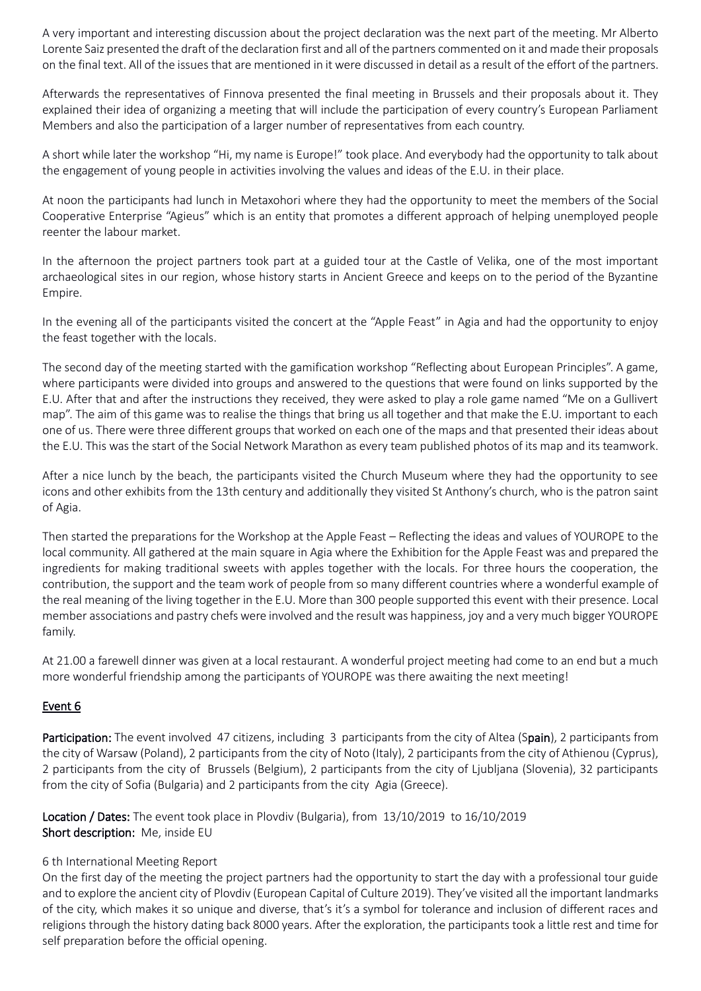A very important and interesting discussion about the project declaration was the next part of the meeting. Mr Alberto Lorente Saiz presented the draft of the declaration first and all of the partners commented on it and made their proposals on the final text. All of the issues that are mentioned in it were discussed in detail as a result of the effort of the partners.

Afterwards the representatives of Finnova presented the final meeting in Brussels and their proposals about it. They explained their idea of organizing a meeting that will include the participation of every country's European Parliament Members and also the participation of a larger number of representatives from each country.

A short while later the workshop "Hi, my name is Europe!" took place. And everybody had the opportunity to talk about the engagement of young people in activities involving the values and ideas of the E.U. in their place.

At noon the participants had lunch in Metaxohori where they had the opportunity to meet the members of the Social Cooperative Enterprise "Agieus" which is an entity that promotes a different approach of helping unemployed people reenter the labour market.

In the afternoon the project partners took part at a guided tour at the Castle of Velika, one of the most important archaeological sites in our region, whose history starts in Ancient Greece and keeps on to the period of the Byzantine Empire.

In the evening all of the participants visited the concert at the "Apple Feast" in Agia and had the opportunity to enjoy the feast together with the locals.

The second day of the meeting started with the gamification workshop "Reflecting about European Principles". A game, where participants were divided into groups and answered to the questions that were found on links supported by the E.U. After that and after the instructions they received, they were asked to play a role game named "Me on a Gullivert map". The aim of this game was to realise the things that bring us all together and that make the E.U. important to each one of us. There were three different groups that worked on each one of the maps and that presented their ideas about the E.U. This was the start of the Social Network Marathon as every team published photos of its map and its teamwork.

After a nice lunch by the beach, the participants visited the Church Museum where they had the opportunity to see icons and other exhibits from the 13th century and additionally they visited St Anthony's church, who is the patron saint of Agia.

Then started the preparations for the Workshop at the Apple Feast – Reflecting the ideas and values of YOUROPE to the local community. All gathered at the main square in Agia where the Exhibition for the Apple Feast was and prepared the ingredients for making traditional sweets with apples together with the locals. For three hours the cooperation, the contribution, the support and the team work of people from so many different countries where a wonderful example of the real meaning of the living together in the E.U. More than 300 people supported this event with their presence. Local member associations and pastry chefs were involved and the result was happiness, joy and a very much bigger YOUROPE family.

At 21.00 a farewell dinner was given at a local restaurant. A wonderful project meeting had come to an end but a much more wonderful friendship among the participants of YOUROPE was there awaiting the next meeting!

## Event 6

Participation: The event involved 47 citizens, including 3 participants from the city of Altea (Spain), 2 participants from the city of Warsaw (Poland), 2 participants from the city of Noto (Italy), 2 participants from the city of Athienou (Cyprus), 2 participants from the city of Brussels (Belgium), 2 participants from the city of Ljubljana (Slovenia), 32 participants from the city of Sofia (Bulgaria) and 2 participants from the city Agia (Greece).

Location / Dates: The event took place in Plovdiv (Bulgaria), from 13/10/2019 to 16/10/2019 Short description: Me, inside EU

### 6 th International Meeting Report

On the first day of the meeting the project partners had the opportunity to start the day with a professional tour guide and to explore the ancient city of Plovdiv (European Capital of Culture 2019). They've visited all the important landmarks of the city, which makes it so unique and diverse, that's it's a symbol for tolerance and inclusion of different races and religions through the history dating back 8000 years. After the exploration, the participants took a little rest and time for self preparation before the official opening.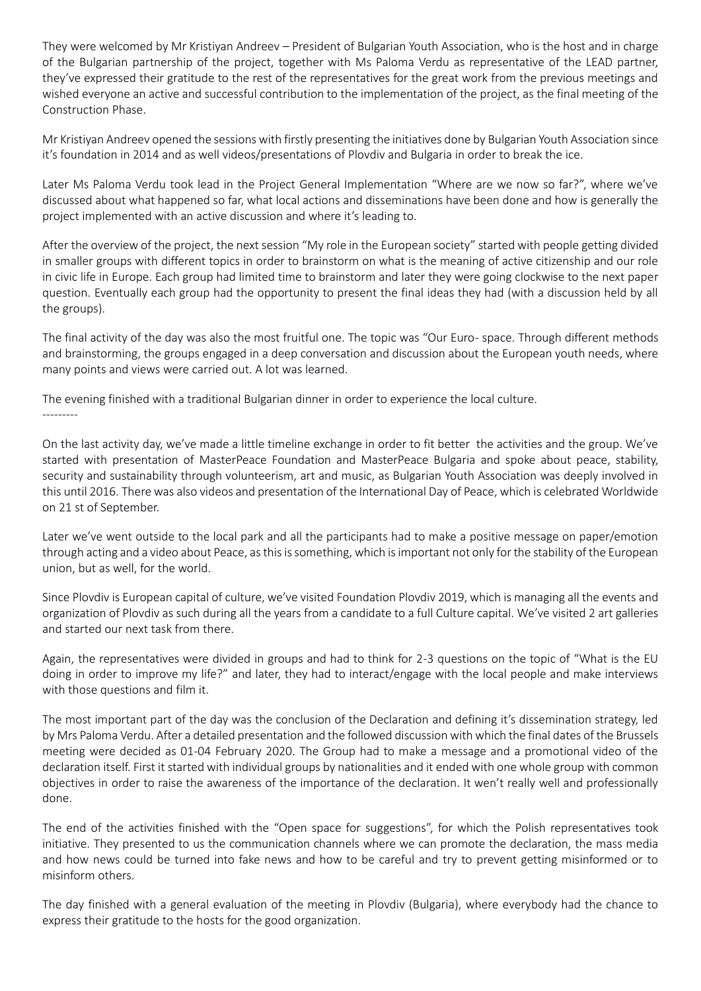They were welcomed by Mr Kristiyan Andreev – President of Bulgarian Youth Association, who is the host and in charge of the Bulgarian partnership of the project, together with Ms Paloma Verdu as representative of the LEAD partner, they've expressed their gratitude to the rest of the representatives for the great work from the previous meetings and wished everyone an active and successful contribution to the implementation of the project, as the final meeting of the Construction Phase.

Mr Kristiyan Andreev opened the sessions with firstly presenting the initiatives done by Bulgarian Youth Association since it's foundation in 2014 and as well videos/presentations of Plovdiv and Bulgaria in order to break the ice.

Later Ms Paloma Verdu took lead in the Project General Implementation "Where are we now so far?", where we've discussed about what happened so far, what local actions and disseminations have been done and how is generally the project implemented with an active discussion and where it's leading to.

After the overview of the project, the next session "My role in the European society" started with people getting divided in smaller groups with different topics in order to brainstorm on what is the meaning of active citizenship and our role in civic life in Europe. Each group had limited time to brainstorm and later they were going clockwise to the next paper question. Eventually each group had the opportunity to present the final ideas they had (with a discussion held by all the groups).

The final activity of the day was also the most fruitful one. The topic was "Our Euro- space. Through different methods and brainstorming, the groups engaged in a deep conversation and discussion about the European youth needs, where many points and views were carried out. A lot was learned.

The evening finished with a traditional Bulgarian dinner in order to experience the local culture. ---------

On the last activity day, we've made a little timeline exchange in order to fit better the activities and the group. We've started with presentation of MasterPeace Foundation and MasterPeace Bulgaria and spoke about peace, stability, security and sustainability through volunteerism, art and music, as Bulgarian Youth Association was deeply involved in this until 2016. There was also videos and presentation of the International Day of Peace, which is celebrated Worldwide on 21 st of September.

Later we've went outside to the local park and all the participants had to make a positive message on paper/emotion through acting and a video about Peace, as this is something, which is important not only for the stability of the European union, but as well, for the world.

Since Plovdiv is European capital of culture, we've visited Foundation Plovdiv 2019, which is managing all the events and organization of Plovdiv as such during all the years from a candidate to a full Culture capital. We've visited 2 art galleries and started our next task from there.

Again, the representatives were divided in groups and had to think for 2-3 questions on the topic of "What is the EU doing in order to improve my life?" and later, they had to interact/engage with the local people and make interviews with those questions and film it.

The most important part of the day was the conclusion of the Declaration and defining it's dissemination strategy, led by Mrs Paloma Verdu. After a detailed presentation and the followed discussion with which the final dates of the Brussels meeting were decided as 01-04 February 2020. The Group had to make a message and a promotional video of the declaration itself. First it started with individual groups by nationalities and it ended with one whole group with common objectives in order to raise the awareness of the importance of the declaration. It wen't really well and professionally done.

The end of the activities finished with the "Open space for suggestions", for which the Polish representatives took initiative. They presented to us the communication channels where we can promote the declaration, the mass media and how news could be turned into fake news and how to be careful and try to prevent getting misinformed or to misinform others.

The day finished with a general evaluation of the meeting in Plovdiv (Bulgaria), where everybody had the chance to express their gratitude to the hosts for the good organization.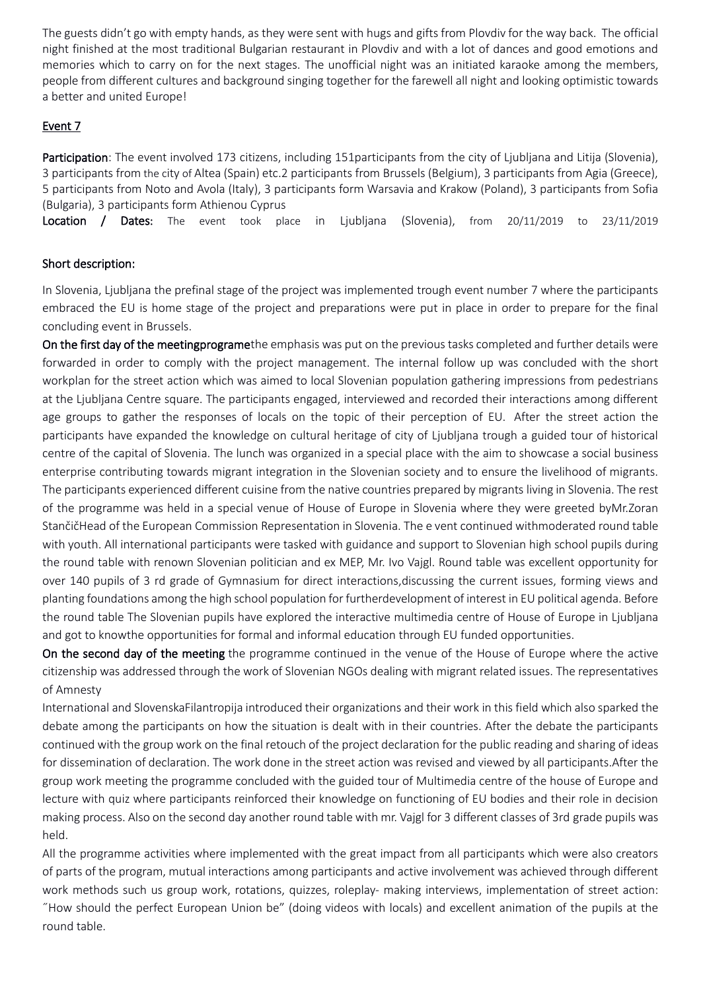The guests didn't go with empty hands, as they were sent with hugs and gifts from Plovdiv for the way back. The official night finished at the most traditional Bulgarian restaurant in Plovdiv and with a lot of dances and good emotions and memories which to carry on for the next stages. The unofficial night was an initiated karaoke among the members, people from different cultures and background singing together for the farewell all night and looking optimistic towards a better and united Europe!

## Event 7

Participation: The event involved 173 citizens, including 151 participants from the city of Ljubljana and Litija (Slovenia), 3 participants from the city of Altea (Spain) etc.2 participants from Brussels (Belgium), 3 participants from Agia (Greece), 5 participants from Noto and Avola (Italy), 3 participants form Warsavia and Krakow (Poland), 3 participants from Sofia (Bulgaria), 3 participants form Athienou Cyprus

Location / Dates: The event took place in Ljubljana (Slovenia), from 20/11/2019 to 23/11/2019

## Short description:

In Slovenia, Ljubljana the prefinal stage of the project was implemented trough event number 7 where the participants embraced the EU is home stage of the project and preparations were put in place in order to prepare for the final concluding event in Brussels.

On the first day of the meetingprogramethe emphasis was put on the previous tasks completed and further details were forwarded in order to comply with the project management. The internal follow up was concluded with the short workplan for the street action which was aimed to local Slovenian population gathering impressions from pedestrians at the Ljubljana Centre square. The participants engaged, interviewed and recorded their interactions among different age groups to gather the responses of locals on the topic of their perception of EU. After the street action the participants have expanded the knowledge on cultural heritage of city of Ljubljana trough a guided tour of historical centre of the capital of Slovenia. The lunch was organized in a special place with the aim to showcase a social business enterprise contributing towards migrant integration in the Slovenian society and to ensure the livelihood of migrants. The participants experienced different cuisine from the native countries prepared by migrants living in Slovenia. The rest of the programme was held in a special venue of House of Europe in Slovenia where they were greeted byMr.Zoran StančičHead of the European Commission Representation in Slovenia. The e vent continued withmoderated round table with youth. All international participants were tasked with guidance and support to Slovenian high school pupils during the round table with renown Slovenian politician and ex MEP, Mr. Ivo Vajgl. Round table was excellent opportunity for over 140 pupils of 3 rd grade of Gymnasium for direct interactions,discussing the current issues, forming views and planting foundations among the high school population for furtherdevelopment of interest in EU political agenda. Before the round table The Slovenian pupils have explored the interactive multimedia centre of House of Europe in Ljubljana and got to knowthe opportunities for formal and informal education through EU funded opportunities.

On the second day of the meeting the programme continued in the venue of the House of Europe where the active citizenship was addressed through the work of Slovenian NGOs dealing with migrant related issues. The representatives of Amnesty

International and SlovenskaFilantropija introduced their organizations and their work in this field which also sparked the debate among the participants on how the situation is dealt with in their countries. After the debate the participants continued with the group work on the final retouch of the project declaration for the public reading and sharing of ideas for dissemination of declaration. The work done in the street action was revised and viewed by all participants.After the group work meeting the programme concluded with the guided tour of Multimedia centre of the house of Europe and lecture with quiz where participants reinforced their knowledge on functioning of EU bodies and their role in decision making process. Also on the second day another round table with mr. Vajgl for 3 different classes of 3rd grade pupils was held.

All the programme activities where implemented with the great impact from all participants which were also creators of parts of the program, mutual interactions among participants and active involvement was achieved through different work methods such us group work, rotations, quizzes, roleplay- making interviews, implementation of street action: ˝How should the perfect European Union be" (doing videos with locals) and excellent animation of the pupils at the round table.